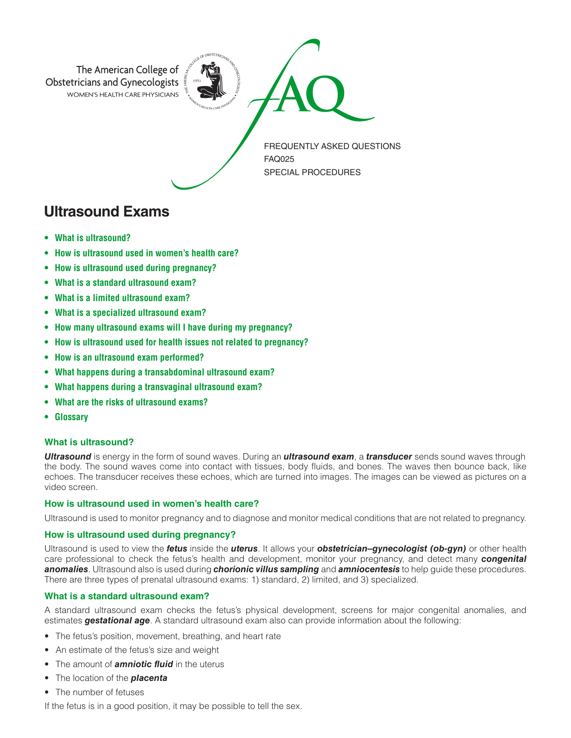

# **Ultrasound Exams**

- **What is ultrasound?**
- **How is ultrasound used in women's health care?**
- **How is ultrasound used during pregnancy?**
- **What is a standard ultrasound exam?**
- **What is a limited ultrasound exam?**
- **What is a specialized ultrasound exam?**
- **How many ultrasound exams will I have during my pregnancy?**
- **How is ultrasound used for health issues not related to pregnancy?**
- **How is an ultrasound exam performed?**
- **What happens during a transabdominal ultrasound exam?**
- **What happens during a transvaginal ultrasound exam?**
- **What are the risks of ultrasound exams?**
- **Glossary**

## **What is ultrasound?**

*Ultrasound* is energy in the form of sound waves. During an *ultrasound exam*, a *transducer* sends sound waves through the body. The sound waves come into contact with tissues, body fluids, and bones. The waves then bounce back, like echoes. The transducer receives these echoes, which are turned into images. The images can be viewed as pictures on a video screen.

## **How is ultrasound used in women's health care?**

Ultrasound is used to monitor pregnancy and to diagnose and monitor medical conditions that are not related to pregnancy.

#### **How is ultrasound used during pregnancy?**

Ultrasound is used to view the *fetus* inside the *uterus*. It allows your *obstetrician–gynecologist (ob-gyn)* or other health care professional to check the fetus's health and development, monitor your pregnancy, and detect many *congenital anomalies*. Ultrasound also is used during *chorionic villus sampling* and *amniocentesis* to help guide these procedures. There are three types of prenatal ultrasound exams: 1) standard, 2) limited, and 3) specialized.

## **What is a standard ultrasound exam?**

A standard ultrasound exam checks the fetus's physical development, screens for major congenital anomalies, and estimates *gestational age*. A standard ultrasound exam also can provide information about the following:

- The fetus's position, movement, breathing, and heart rate
- An estimate of the fetus's size and weight
- The amount of *amniotic fluid* in the uterus
- The location of the *placenta*
- The number of fetuses

If the fetus is in a good position, it may be possible to tell the sex.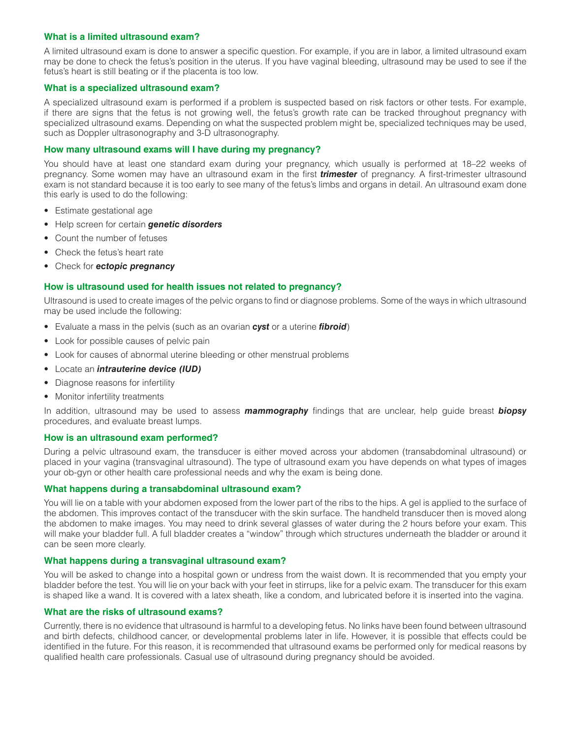## **What is a limited ultrasound exam?**

A limited ultrasound exam is done to answer a specific question. For example, if you are in labor, a limited ultrasound exam may be done to check the fetus's position in the uterus. If you have vaginal bleeding, ultrasound may be used to see if the fetus's heart is still beating or if the placenta is too low.

#### **What is a specialized ultrasound exam?**

A specialized ultrasound exam is performed if a problem is suspected based on risk factors or other tests. For example, if there are signs that the fetus is not growing well, the fetus's growth rate can be tracked throughout pregnancy with specialized ultrasound exams. Depending on what the suspected problem might be, specialized techniques may be used, such as Doppler ultrasonography and 3-D ultrasonography.

## **How many ultrasound exams will I have during my pregnancy?**

You should have at least one standard exam during your pregnancy, which usually is performed at 18–22 weeks of pregnancy. Some women may have an ultrasound exam in the first *trimester* of pregnancy. A first-trimester ultrasound exam is not standard because it is too early to see many of the fetus's limbs and organs in detail. An ultrasound exam done this early is used to do the following:

- Estimate gestational age
- Help screen for certain *genetic disorders*
- Count the number of fetuses
- Check the fetus's heart rate
- Check for *ectopic pregnancy*

#### **How is ultrasound used for health issues not related to pregnancy?**

Ultrasound is used to create images of the pelvic organs to find or diagnose problems. Some of the ways in which ultrasound may be used include the following:

- Evaluate a mass in the pelvis (such as an ovarian *cyst* or a uterine *fibroid*)
- Look for possible causes of pelvic pain
- Look for causes of abnormal uterine bleeding or other menstrual problems
- Locate an *intrauterine device (IUD)*
- Diagnose reasons for infertility
- Monitor infertility treatments

In addition, ultrasound may be used to assess *mammography* findings that are unclear, help guide breast *biopsy* procedures, and evaluate breast lumps.

## **How is an ultrasound exam performed?**

During a pelvic ultrasound exam, the transducer is either moved across your abdomen (transabdominal ultrasound) or placed in your vagina (transvaginal ultrasound). The type of ultrasound exam you have depends on what types of images your ob-gyn or other health care professional needs and why the exam is being done.

#### **What happens during a transabdominal ultrasound exam?**

You will lie on a table with your abdomen exposed from the lower part of the ribs to the hips. A gel is applied to the surface of the abdomen. This improves contact of the transducer with the skin surface. The handheld transducer then is moved along the abdomen to make images. You may need to drink several glasses of water during the 2 hours before your exam. This will make your bladder full. A full bladder creates a "window" through which structures underneath the bladder or around it can be seen more clearly.

## **What happens during a transvaginal ultrasound exam?**

You will be asked to change into a hospital gown or undress from the waist down. It is recommended that you empty your bladder before the test. You will lie on your back with your feet in stirrups, like for a pelvic exam. The transducer for this exam is shaped like a wand. It is covered with a latex sheath, like a condom, and lubricated before it is inserted into the vagina.

## **What are the risks of ultrasound exams?**

Currently, there is no evidence that ultrasound is harmful to a developing fetus. No links have been found between ultrasound and birth defects, childhood cancer, or developmental problems later in life. However, it is possible that effects could be identified in the future. For this reason, it is recommended that ultrasound exams be performed only for medical reasons by qualified health care professionals. Casual use of ultrasound during pregnancy should be avoided.